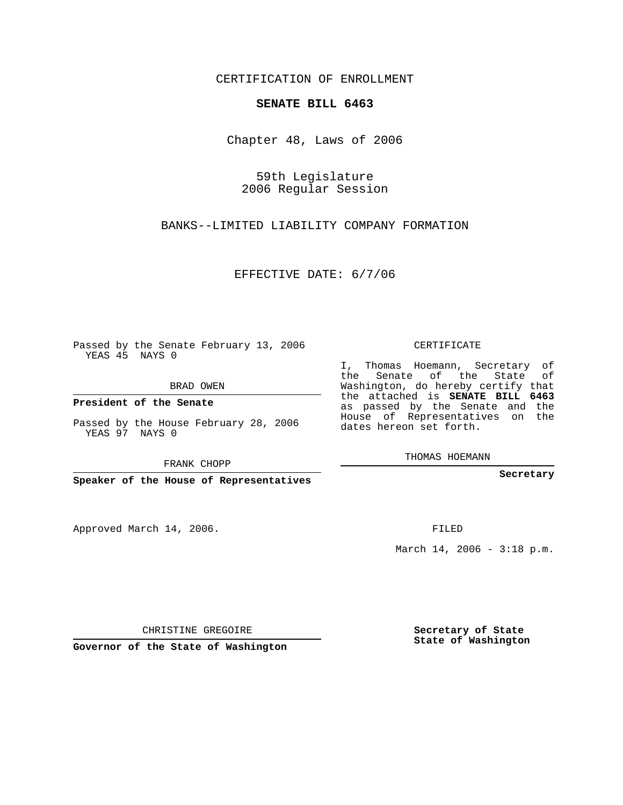CERTIFICATION OF ENROLLMENT

## **SENATE BILL 6463**

Chapter 48, Laws of 2006

59th Legislature 2006 Regular Session

BANKS--LIMITED LIABILITY COMPANY FORMATION

EFFECTIVE DATE: 6/7/06

Passed by the Senate February 13, 2006 YEAS 45 NAYS 0

BRAD OWEN

**President of the Senate**

Passed by the House February 28, 2006 YEAS 97 NAYS 0

FRANK CHOPP

**Speaker of the House of Representatives**

Approved March 14, 2006.

CERTIFICATE

I, Thomas Hoemann, Secretary of the Senate of the State of Washington, do hereby certify that the attached is **SENATE BILL 6463** as passed by the Senate and the House of Representatives on the dates hereon set forth.

THOMAS HOEMANN

**Secretary**

FILED

March 14, 2006 - 3:18 p.m.

CHRISTINE GREGOIRE

**Governor of the State of Washington**

**Secretary of State State of Washington**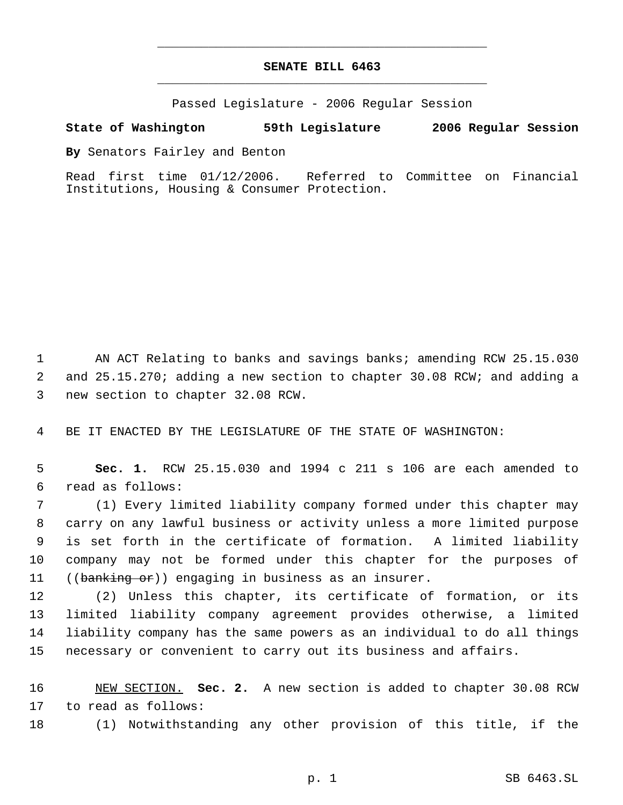## **SENATE BILL 6463** \_\_\_\_\_\_\_\_\_\_\_\_\_\_\_\_\_\_\_\_\_\_\_\_\_\_\_\_\_\_\_\_\_\_\_\_\_\_\_\_\_\_\_\_\_

\_\_\_\_\_\_\_\_\_\_\_\_\_\_\_\_\_\_\_\_\_\_\_\_\_\_\_\_\_\_\_\_\_\_\_\_\_\_\_\_\_\_\_\_\_

Passed Legislature - 2006 Regular Session

## **State of Washington 59th Legislature 2006 Regular Session**

**By** Senators Fairley and Benton

Read first time 01/12/2006. Referred to Committee on Financial Institutions, Housing & Consumer Protection.

 AN ACT Relating to banks and savings banks; amending RCW 25.15.030 and 25.15.270; adding a new section to chapter 30.08 RCW; and adding a new section to chapter 32.08 RCW.

BE IT ENACTED BY THE LEGISLATURE OF THE STATE OF WASHINGTON:

 **Sec. 1.** RCW 25.15.030 and 1994 c 211 s 106 are each amended to read as follows:

 (1) Every limited liability company formed under this chapter may carry on any lawful business or activity unless a more limited purpose is set forth in the certificate of formation. A limited liability company may not be formed under this chapter for the purposes of 11 ((banking or)) engaging in business as an insurer.

 (2) Unless this chapter, its certificate of formation, or its limited liability company agreement provides otherwise, a limited liability company has the same powers as an individual to do all things necessary or convenient to carry out its business and affairs.

 NEW SECTION. **Sec. 2.** A new section is added to chapter 30.08 RCW to read as follows:

(1) Notwithstanding any other provision of this title, if the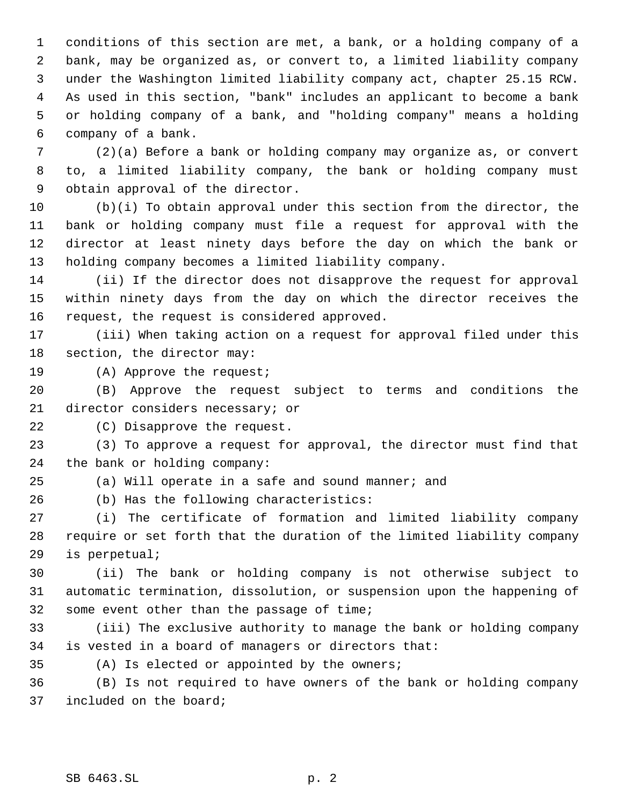conditions of this section are met, a bank, or a holding company of a bank, may be organized as, or convert to, a limited liability company under the Washington limited liability company act, chapter 25.15 RCW. As used in this section, "bank" includes an applicant to become a bank or holding company of a bank, and "holding company" means a holding company of a bank.

 (2)(a) Before a bank or holding company may organize as, or convert to, a limited liability company, the bank or holding company must obtain approval of the director.

 (b)(i) To obtain approval under this section from the director, the bank or holding company must file a request for approval with the director at least ninety days before the day on which the bank or holding company becomes a limited liability company.

 (ii) If the director does not disapprove the request for approval within ninety days from the day on which the director receives the request, the request is considered approved.

 (iii) When taking action on a request for approval filed under this section, the director may:

(A) Approve the request;

 (B) Approve the request subject to terms and conditions the director considers necessary; or

(C) Disapprove the request.

 (3) To approve a request for approval, the director must find that the bank or holding company:

(a) Will operate in a safe and sound manner; and

(b) Has the following characteristics:

 (i) The certificate of formation and limited liability company require or set forth that the duration of the limited liability company is perpetual;

 (ii) The bank or holding company is not otherwise subject to automatic termination, dissolution, or suspension upon the happening of some event other than the passage of time;

 (iii) The exclusive authority to manage the bank or holding company is vested in a board of managers or directors that:

(A) Is elected or appointed by the owners;

 (B) Is not required to have owners of the bank or holding company included on the board;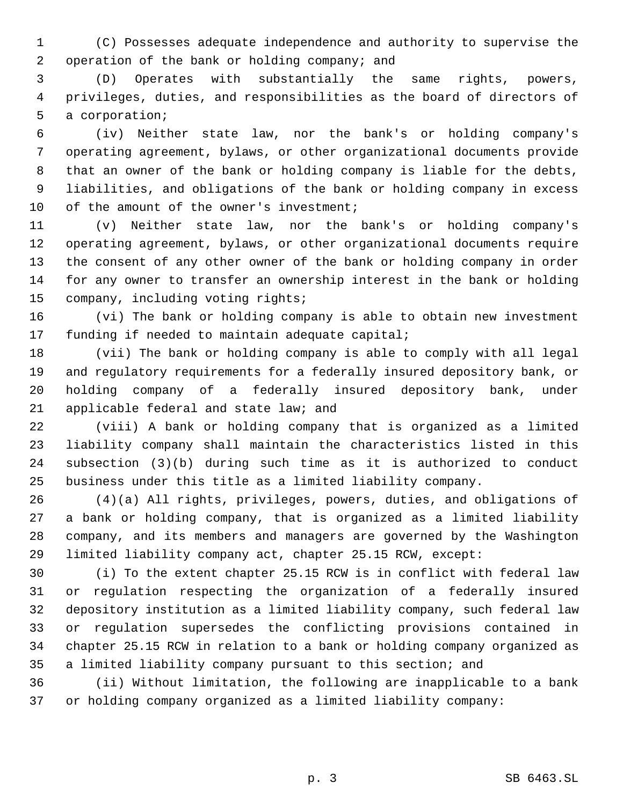(C) Possesses adequate independence and authority to supervise the operation of the bank or holding company; and

 (D) Operates with substantially the same rights, powers, privileges, duties, and responsibilities as the board of directors of a corporation;

 (iv) Neither state law, nor the bank's or holding company's operating agreement, bylaws, or other organizational documents provide that an owner of the bank or holding company is liable for the debts, liabilities, and obligations of the bank or holding company in excess 10 of the amount of the owner's investment;

 (v) Neither state law, nor the bank's or holding company's operating agreement, bylaws, or other organizational documents require the consent of any other owner of the bank or holding company in order for any owner to transfer an ownership interest in the bank or holding company, including voting rights;

 (vi) The bank or holding company is able to obtain new investment funding if needed to maintain adequate capital;

 (vii) The bank or holding company is able to comply with all legal and regulatory requirements for a federally insured depository bank, or holding company of a federally insured depository bank, under applicable federal and state law; and

 (viii) A bank or holding company that is organized as a limited liability company shall maintain the characteristics listed in this subsection (3)(b) during such time as it is authorized to conduct business under this title as a limited liability company.

 (4)(a) All rights, privileges, powers, duties, and obligations of a bank or holding company, that is organized as a limited liability company, and its members and managers are governed by the Washington limited liability company act, chapter 25.15 RCW, except:

 (i) To the extent chapter 25.15 RCW is in conflict with federal law or regulation respecting the organization of a federally insured depository institution as a limited liability company, such federal law or regulation supersedes the conflicting provisions contained in chapter 25.15 RCW in relation to a bank or holding company organized as a limited liability company pursuant to this section; and

 (ii) Without limitation, the following are inapplicable to a bank or holding company organized as a limited liability company: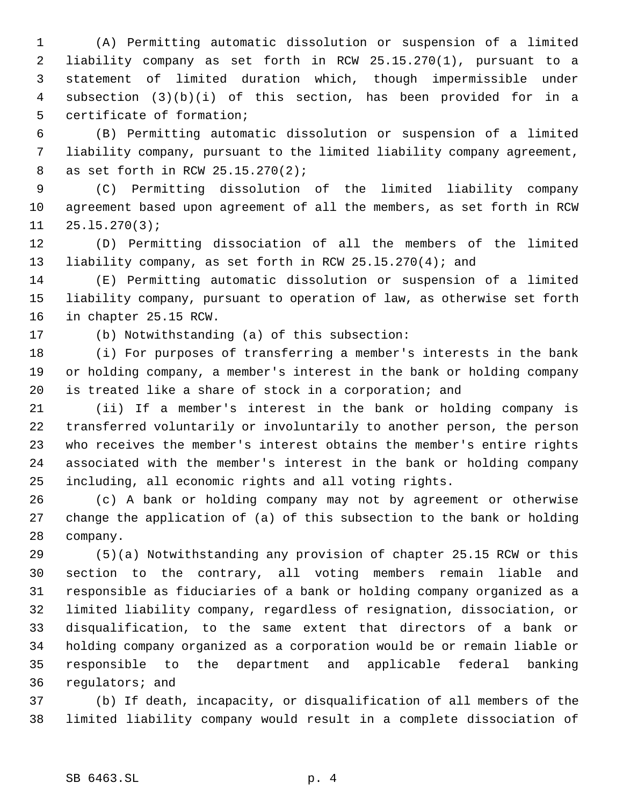(A) Permitting automatic dissolution or suspension of a limited liability company as set forth in RCW 25.15.270(1), pursuant to a statement of limited duration which, though impermissible under subsection (3)(b)(i) of this section, has been provided for in a certificate of formation;

 (B) Permitting automatic dissolution or suspension of a limited liability company, pursuant to the limited liability company agreement, as set forth in RCW 25.15.270(2);

 (C) Permitting dissolution of the limited liability company agreement based upon agreement of all the members, as set forth in RCW 25.l5.270(3);

 (D) Permitting dissociation of all the members of the limited liability company, as set forth in RCW 25.l5.270(4); and

 (E) Permitting automatic dissolution or suspension of a limited liability company, pursuant to operation of law, as otherwise set forth in chapter 25.15 RCW.

(b) Notwithstanding (a) of this subsection:

 (i) For purposes of transferring a member's interests in the bank or holding company, a member's interest in the bank or holding company is treated like a share of stock in a corporation; and

 (ii) If a member's interest in the bank or holding company is transferred voluntarily or involuntarily to another person, the person who receives the member's interest obtains the member's entire rights associated with the member's interest in the bank or holding company including, all economic rights and all voting rights.

 (c) A bank or holding company may not by agreement or otherwise change the application of (a) of this subsection to the bank or holding company.

 (5)(a) Notwithstanding any provision of chapter 25.15 RCW or this section to the contrary, all voting members remain liable and responsible as fiduciaries of a bank or holding company organized as a limited liability company, regardless of resignation, dissociation, or disqualification, to the same extent that directors of a bank or holding company organized as a corporation would be or remain liable or responsible to the department and applicable federal banking regulators; and

 (b) If death, incapacity, or disqualification of all members of the limited liability company would result in a complete dissociation of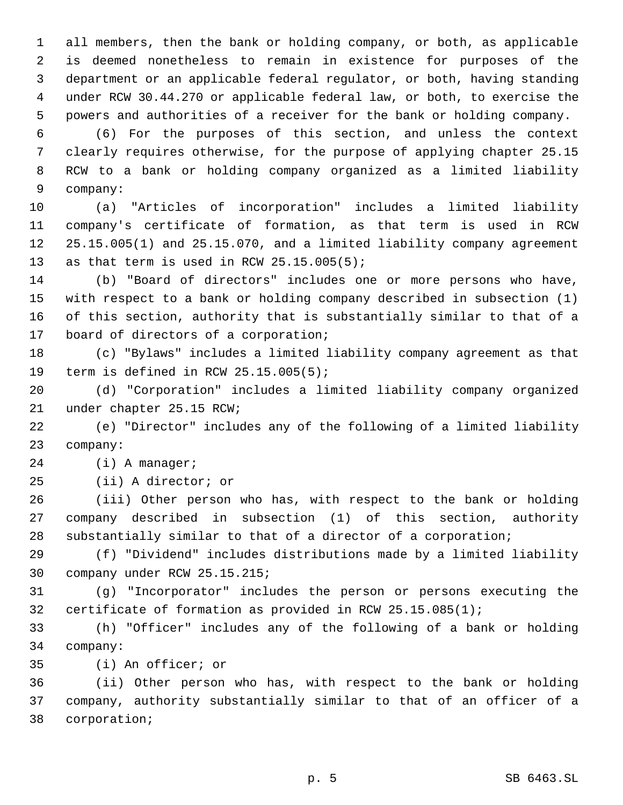all members, then the bank or holding company, or both, as applicable is deemed nonetheless to remain in existence for purposes of the department or an applicable federal regulator, or both, having standing under RCW 30.44.270 or applicable federal law, or both, to exercise the powers and authorities of a receiver for the bank or holding company.

 (6) For the purposes of this section, and unless the context clearly requires otherwise, for the purpose of applying chapter 25.15 RCW to a bank or holding company organized as a limited liability company:

 (a) "Articles of incorporation" includes a limited liability company's certificate of formation, as that term is used in RCW 25.15.005(1) and 25.15.070, and a limited liability company agreement 13 as that term is used in RCW 25.15.005(5);

 (b) "Board of directors" includes one or more persons who have, with respect to a bank or holding company described in subsection (1) of this section, authority that is substantially similar to that of a board of directors of a corporation;

 (c) "Bylaws" includes a limited liability company agreement as that term is defined in RCW 25.15.005(5);

 (d) "Corporation" includes a limited liability company organized under chapter 25.15 RCW;

 (e) "Director" includes any of the following of a limited liability company:

(i) A manager;

(ii) A director; or

 (iii) Other person who has, with respect to the bank or holding company described in subsection (1) of this section, authority substantially similar to that of a director of a corporation;

 (f) "Dividend" includes distributions made by a limited liability company under RCW 25.15.215;

 (g) "Incorporator" includes the person or persons executing the certificate of formation as provided in RCW 25.15.085(1);

 (h) "Officer" includes any of the following of a bank or holding company:

(i) An officer; or

 (ii) Other person who has, with respect to the bank or holding company, authority substantially similar to that of an officer of a corporation;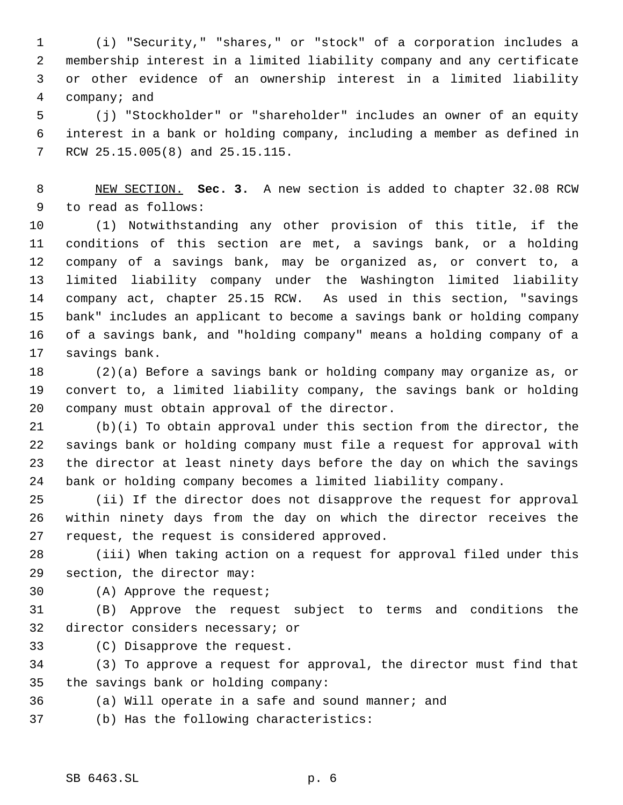(i) "Security," "shares," or "stock" of a corporation includes a membership interest in a limited liability company and any certificate or other evidence of an ownership interest in a limited liability company; and

 (j) "Stockholder" or "shareholder" includes an owner of an equity interest in a bank or holding company, including a member as defined in RCW 25.15.005(8) and 25.15.115.

 NEW SECTION. **Sec. 3.** A new section is added to chapter 32.08 RCW to read as follows:

 (1) Notwithstanding any other provision of this title, if the conditions of this section are met, a savings bank, or a holding company of a savings bank, may be organized as, or convert to, a limited liability company under the Washington limited liability company act, chapter 25.15 RCW. As used in this section, "savings bank" includes an applicant to become a savings bank or holding company of a savings bank, and "holding company" means a holding company of a savings bank.

 (2)(a) Before a savings bank or holding company may organize as, or convert to, a limited liability company, the savings bank or holding company must obtain approval of the director.

 (b)(i) To obtain approval under this section from the director, the savings bank or holding company must file a request for approval with the director at least ninety days before the day on which the savings bank or holding company becomes a limited liability company.

 (ii) If the director does not disapprove the request for approval within ninety days from the day on which the director receives the request, the request is considered approved.

 (iii) When taking action on a request for approval filed under this section, the director may:

(A) Approve the request;

 (B) Approve the request subject to terms and conditions the director considers necessary; or

(C) Disapprove the request.

 (3) To approve a request for approval, the director must find that the savings bank or holding company:

(a) Will operate in a safe and sound manner; and

(b) Has the following characteristics: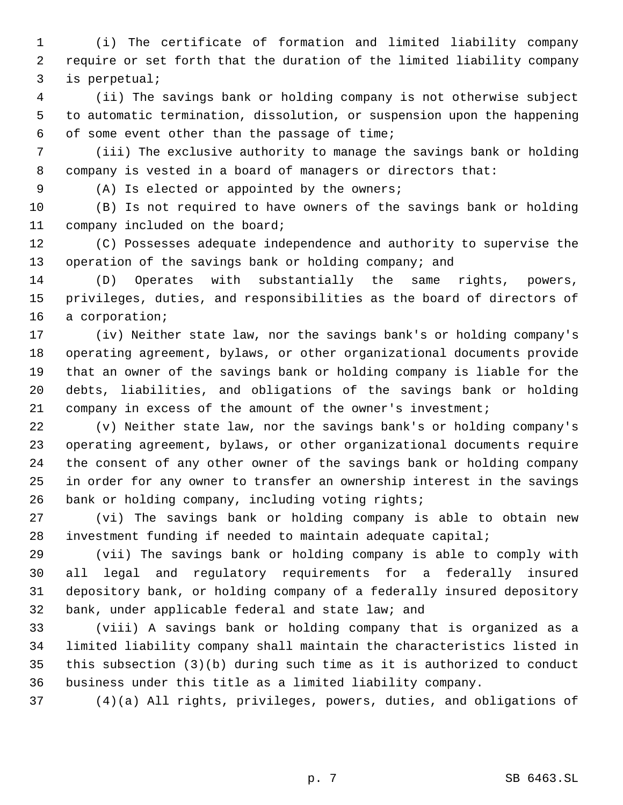(i) The certificate of formation and limited liability company require or set forth that the duration of the limited liability company is perpetual;

 (ii) The savings bank or holding company is not otherwise subject to automatic termination, dissolution, or suspension upon the happening of some event other than the passage of time;

 (iii) The exclusive authority to manage the savings bank or holding company is vested in a board of managers or directors that:

(A) Is elected or appointed by the owners;

 (B) Is not required to have owners of the savings bank or holding company included on the board;

 (C) Possesses adequate independence and authority to supervise the 13 operation of the savings bank or holding company; and

 (D) Operates with substantially the same rights, powers, privileges, duties, and responsibilities as the board of directors of a corporation;

 (iv) Neither state law, nor the savings bank's or holding company's operating agreement, bylaws, or other organizational documents provide that an owner of the savings bank or holding company is liable for the debts, liabilities, and obligations of the savings bank or holding 21 company in excess of the amount of the owner's investment;

 (v) Neither state law, nor the savings bank's or holding company's operating agreement, bylaws, or other organizational documents require the consent of any other owner of the savings bank or holding company in order for any owner to transfer an ownership interest in the savings bank or holding company, including voting rights;

 (vi) The savings bank or holding company is able to obtain new investment funding if needed to maintain adequate capital;

 (vii) The savings bank or holding company is able to comply with all legal and regulatory requirements for a federally insured depository bank, or holding company of a federally insured depository bank, under applicable federal and state law; and

 (viii) A savings bank or holding company that is organized as a limited liability company shall maintain the characteristics listed in this subsection (3)(b) during such time as it is authorized to conduct business under this title as a limited liability company.

(4)(a) All rights, privileges, powers, duties, and obligations of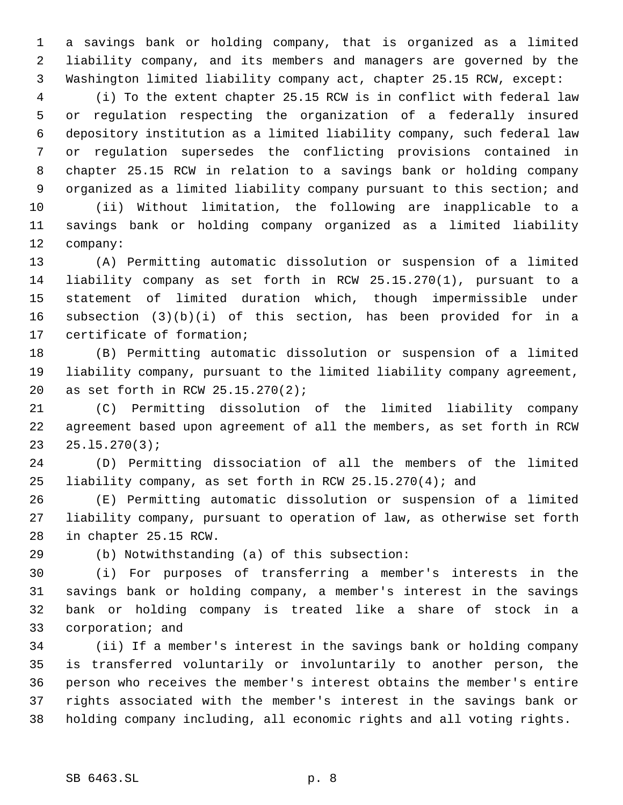a savings bank or holding company, that is organized as a limited liability company, and its members and managers are governed by the Washington limited liability company act, chapter 25.15 RCW, except:

 (i) To the extent chapter 25.15 RCW is in conflict with federal law or regulation respecting the organization of a federally insured depository institution as a limited liability company, such federal law or regulation supersedes the conflicting provisions contained in chapter 25.15 RCW in relation to a savings bank or holding company organized as a limited liability company pursuant to this section; and

 (ii) Without limitation, the following are inapplicable to a savings bank or holding company organized as a limited liability company:

 (A) Permitting automatic dissolution or suspension of a limited liability company as set forth in RCW 25.15.270(1), pursuant to a statement of limited duration which, though impermissible under subsection (3)(b)(i) of this section, has been provided for in a certificate of formation;

 (B) Permitting automatic dissolution or suspension of a limited liability company, pursuant to the limited liability company agreement, as set forth in RCW 25.15.270(2);

 (C) Permitting dissolution of the limited liability company agreement based upon agreement of all the members, as set forth in RCW 25.l5.270(3);

 (D) Permitting dissociation of all the members of the limited liability company, as set forth in RCW 25.l5.270(4); and

 (E) Permitting automatic dissolution or suspension of a limited liability company, pursuant to operation of law, as otherwise set forth in chapter 25.15 RCW.

(b) Notwithstanding (a) of this subsection:

 (i) For purposes of transferring a member's interests in the savings bank or holding company, a member's interest in the savings bank or holding company is treated like a share of stock in a corporation; and

 (ii) If a member's interest in the savings bank or holding company is transferred voluntarily or involuntarily to another person, the person who receives the member's interest obtains the member's entire rights associated with the member's interest in the savings bank or holding company including, all economic rights and all voting rights.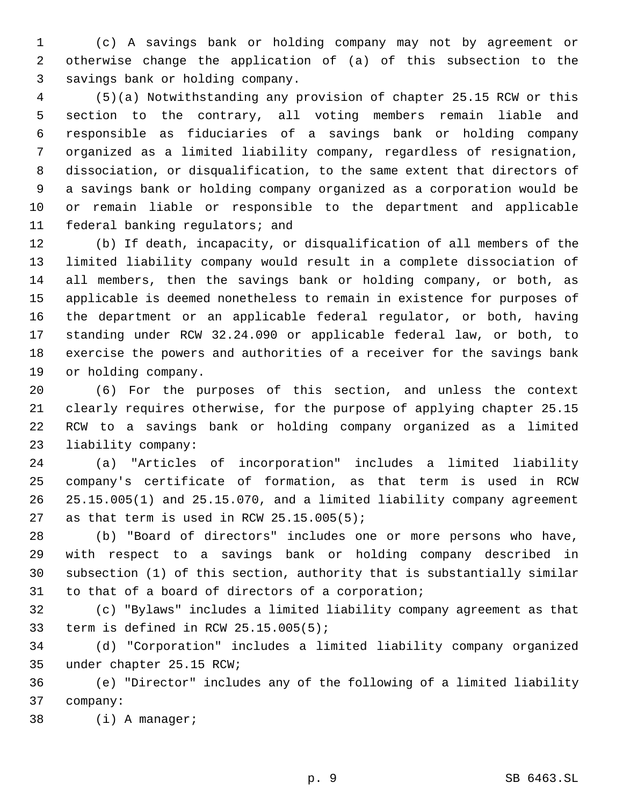(c) A savings bank or holding company may not by agreement or otherwise change the application of (a) of this subsection to the savings bank or holding company.

 (5)(a) Notwithstanding any provision of chapter 25.15 RCW or this section to the contrary, all voting members remain liable and responsible as fiduciaries of a savings bank or holding company organized as a limited liability company, regardless of resignation, dissociation, or disqualification, to the same extent that directors of a savings bank or holding company organized as a corporation would be or remain liable or responsible to the department and applicable federal banking regulators; and

 (b) If death, incapacity, or disqualification of all members of the limited liability company would result in a complete dissociation of all members, then the savings bank or holding company, or both, as applicable is deemed nonetheless to remain in existence for purposes of the department or an applicable federal regulator, or both, having standing under RCW 32.24.090 or applicable federal law, or both, to exercise the powers and authorities of a receiver for the savings bank or holding company.

 (6) For the purposes of this section, and unless the context clearly requires otherwise, for the purpose of applying chapter 25.15 RCW to a savings bank or holding company organized as a limited liability company:

 (a) "Articles of incorporation" includes a limited liability company's certificate of formation, as that term is used in RCW 25.15.005(1) and 25.15.070, and a limited liability company agreement 27 as that term is used in RCW  $25.15.005(5)$ ;

 (b) "Board of directors" includes one or more persons who have, with respect to a savings bank or holding company described in subsection (1) of this section, authority that is substantially similar to that of a board of directors of a corporation;

 (c) "Bylaws" includes a limited liability company agreement as that term is defined in RCW 25.15.005(5);

 (d) "Corporation" includes a limited liability company organized under chapter 25.15 RCW;

 (e) "Director" includes any of the following of a limited liability company:

(i) A manager;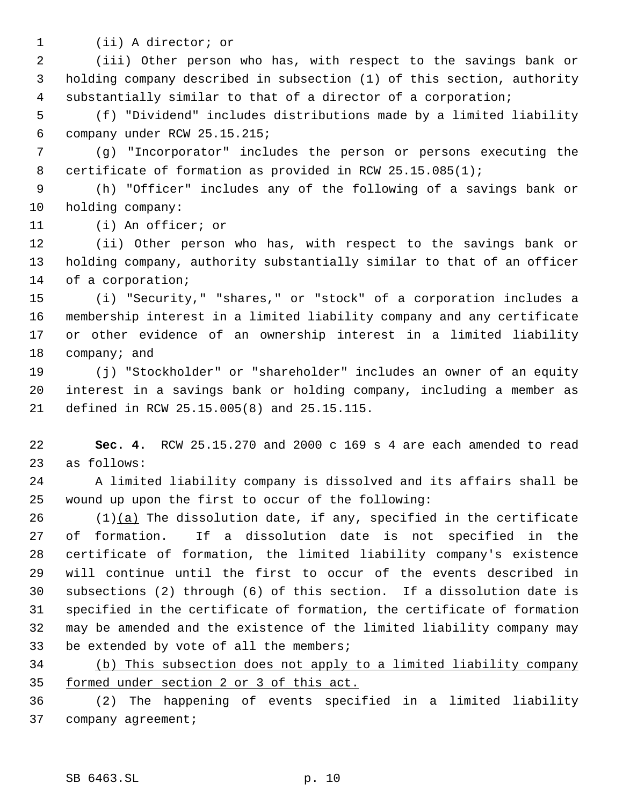- 
- (ii) A director; or

 (iii) Other person who has, with respect to the savings bank or holding company described in subsection (1) of this section, authority substantially similar to that of a director of a corporation;

 (f) "Dividend" includes distributions made by a limited liability company under RCW 25.15.215;

 (g) "Incorporator" includes the person or persons executing the certificate of formation as provided in RCW 25.15.085(1);

 (h) "Officer" includes any of the following of a savings bank or holding company:

(i) An officer; or

 (ii) Other person who has, with respect to the savings bank or holding company, authority substantially similar to that of an officer of a corporation;

 (i) "Security," "shares," or "stock" of a corporation includes a membership interest in a limited liability company and any certificate or other evidence of an ownership interest in a limited liability 18 company; and

 (j) "Stockholder" or "shareholder" includes an owner of an equity interest in a savings bank or holding company, including a member as defined in RCW 25.15.005(8) and 25.15.115.

 **Sec. 4.** RCW 25.15.270 and 2000 c 169 s 4 are each amended to read as follows:

 A limited liability company is dissolved and its affairs shall be wound up upon the first to occur of the following:

 $(1)(a)$  The dissolution date, if any, specified in the certificate of formation. If a dissolution date is not specified in the certificate of formation, the limited liability company's existence will continue until the first to occur of the events described in subsections (2) through (6) of this section. If a dissolution date is specified in the certificate of formation, the certificate of formation may be amended and the existence of the limited liability company may 33 be extended by vote of all the members;

 (b) This subsection does not apply to a limited liability company formed under section 2 or 3 of this act.

 (2) The happening of events specified in a limited liability company agreement;